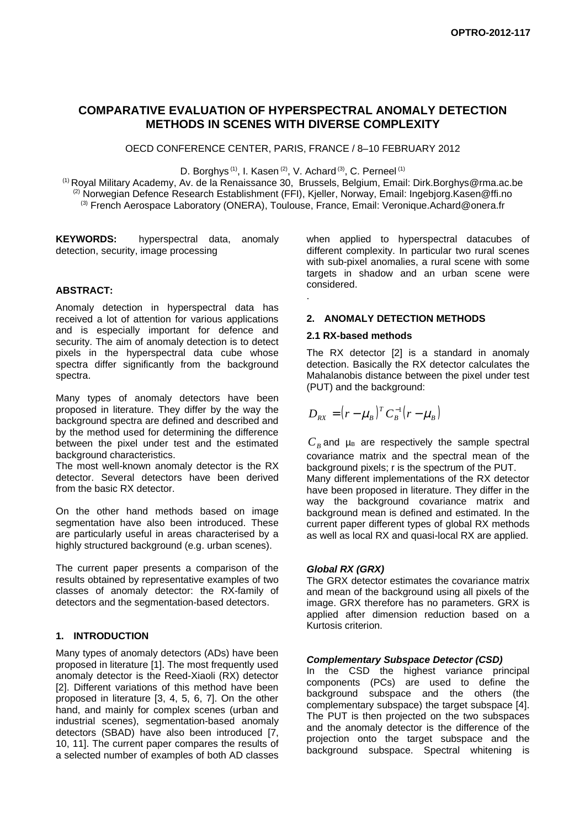# **COMPARATIVE EVALUATION OF HYPERSPECTRAL ANOMALY DETECTION METHODS IN SCENES WITH DIVERSE COMPLEXITY**

OECD CONFERENCE CENTER, PARIS, FRANCE / 8–10 FEBRUARY 2012

D. Borghys<sup>(1)</sup>, I. Kasen<sup>(2)</sup>, V. Achard<sup>(3)</sup>, C. Perneel<sup>(1)</sup>

(1) Royal Military Academy, Av. de la Renaissance 30, Brussels, Belgium, Email: Dirk.Borghys@rma.ac.be <sup>(2)</sup> Norwegian Defence Research Establishment (FFI), Kjeller, Norway, Email: Ingebjorg.Kasen@ffi.no (3) French Aerospace Laboratory (ONERA), Toulouse, France, Email: Veronique.Achard@onera.fr

.

**KEYWORDS:** hyperspectral data, anomaly detection, security, image processing

### **ABSTRACT:**

Anomaly detection in hyperspectral data has received a lot of attention for various applications and is especially important for defence and security. The aim of anomaly detection is to detect pixels in the hyperspectral data cube whose spectra differ significantly from the background spectra.

Many types of anomaly detectors have been proposed in literature. They differ by the way the background spectra are defined and described and by the method used for determining the difference between the pixel under test and the estimated background characteristics.

The most well-known anomaly detector is the RX detector. Several detectors have been derived from the basic RX detector.

On the other hand methods based on image segmentation have also been introduced. These are particularly useful in areas characterised by a highly structured background (e.g. urban scenes).

The current paper presents a comparison of the results obtained by representative examples of two classes of anomaly detector: the RX-family of detectors and the segmentation-based detectors.

## **1. INTRODUCTION**

Many types of anomaly detectors (ADs) have been proposed in literature [1]. The most frequently used anomaly detector is the Reed-Xiaoli (RX) detector [2]. Different variations of this method have been proposed in literature [3, 4, 5, 6, 7]. On the other hand, and mainly for complex scenes (urban and industrial scenes), segmentation-based anomaly detectors (SBAD) have also been introduced [7, 10, 11]. The current paper compares the results of a selected number of examples of both AD classes when applied to hyperspectral datacubes of different complexity. In particular two rural scenes with sub-pixel anomalies, a rural scene with some targets in shadow and an urban scene were considered.

### **2. ANOMALY DETECTION METHODS**

### **2.1 RX-based methods**

The RX detector [2] is a standard in anomaly detection. Basically the RX detector calculates the Mahalanobis distance between the pixel under test (PUT) and the background:

$$
D_{RX} = (r - \mu_B)^T C_B^{-1} (r - \mu_B)
$$

 $C_B$  and  $\mu_B$  are respectively the sample spectral covariance matrix and the spectral mean of the background pixels; r is the spectrum of the PUT.

Many different implementations of the RX detector have been proposed in literature. They differ in the way the background covariance matrix and background mean is defined and estimated. In the current paper different types of global RX methods as well as local RX and quasi-local RX are applied.

### *Global RX (GRX)*

The GRX detector estimates the covariance matrix and mean of the background using all pixels of the image. GRX therefore has no parameters. GRX is applied after dimension reduction based on a Kurtosis criterion.

### *Complementary Subspace Detector (CSD)*

In the CSD the highest variance principal components (PCs) are used to define the background subspace and the others (the complementary subspace) the target subspace [4]. The PUT is then projected on the two subspaces and the anomaly detector is the difference of the projection onto the target subspace and the background subspace. Spectral whitening is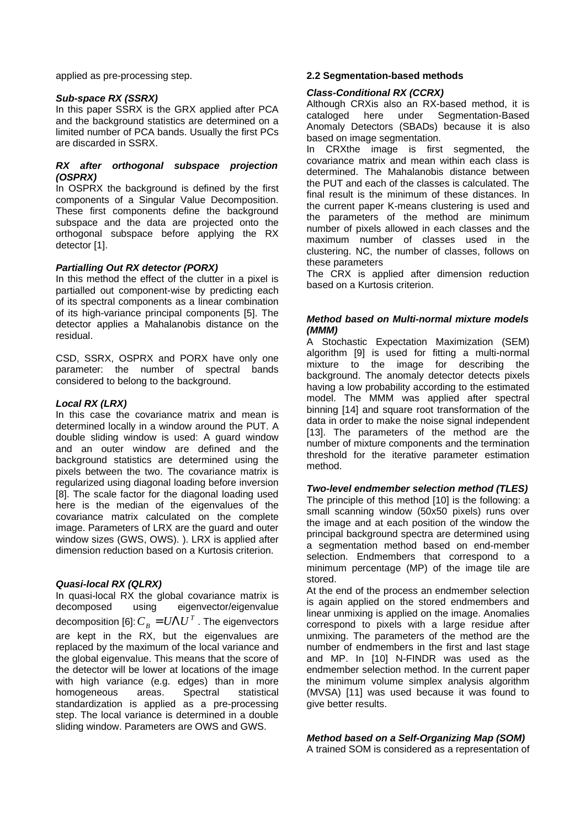applied as pre-processing step.

#### *Sub-space RX (SSRX)*

In this paper SSRX is the GRX applied after PCA and the background statistics are determined on a limited number of PCA bands. Usually the first PCs are discarded in SSRX.

#### *RX after orthogonal subspace projection (OSPRX)*

In OSPRX the background is defined by the first components of a Singular Value Decomposition. These first components define the background subspace and the data are projected onto the orthogonal subspace before applying the RX detector [1].

### *Partialling Out RX detector (PORX)*

In this method the effect of the clutter in a pixel is partialled out component-wise by predicting each of its spectral components as a linear combination of its high-variance principal components [5]. The detector applies a Mahalanobis distance on the residual.

CSD, SSRX, OSPRX and PORX have only one parameter: the number of spectral bands considered to belong to the background.

### *Local RX (LRX)*

In this case the covariance matrix and mean is determined locally in a window around the PUT. A double sliding window is used: A guard window and an outer window are defined and the background statistics are determined using the pixels between the two. The covariance matrix is regularized using diagonal loading before inversion [8]. The scale factor for the diagonal loading used here is the median of the eigenvalues of the covariance matrix calculated on the complete image. Parameters of LRX are the guard and outer window sizes (GWS, OWS). ). LRX is applied after dimension reduction based on a Kurtosis criterion.

### *Quasi-local RX (QLRX)*

In quasi-local RX the global covariance matrix is decomposed using eigenvector/eigenvalue decomposition [6]:  $C_B = U \Lambda U^T$ . The eigenvectors are kept in the RX, but the eigenvalues are replaced by the maximum of the local variance and the global eigenvalue. This means that the score of the detector will be lower at locations of the image with high variance (e.g. edges) than in more homogeneous areas. Spectral statistical standardization is applied as a pre-processing step. The local variance is determined in a double sliding window. Parameters are OWS and GWS.

### **2.2 Segmentation-based methods**

## *Class-Conditional RX (CCRX)*

Although CRXis also an RX-based method, it is cataloged here under Segmentation-Based Anomaly Detectors (SBADs) because it is also based on image segmentation.

In CRXthe image is first segmented, the covariance matrix and mean within each class is determined. The Mahalanobis distance between the PUT and each of the classes is calculated. The final result is the minimum of these distances. In the current paper K-means clustering is used and the parameters of the method are minimum number of pixels allowed in each classes and the maximum number of classes used in the clustering. NC, the number of classes, follows on these parameters

The CRX is applied after dimension reduction based on a Kurtosis criterion.

## *Method based on Multi-normal mixture models (MMM)*

A Stochastic Expectation Maximization (SEM) algorithm [9] is used for fitting a multi-normal mixture to the image for describing the background. The anomaly detector detects pixels having a low probability according to the estimated model. The MMM was applied after spectral binning [14] and square root transformation of the data in order to make the noise signal independent [13]. The parameters of the method are the number of mixture components and the termination threshold for the iterative parameter estimation method.

## *Two-level endmember selection method (TLES)*

The principle of this method [10] is the following: a small scanning window (50x50 pixels) runs over the image and at each position of the window the principal background spectra are determined using a segmentation method based on end-member selection. Endmembers that correspond to a minimum percentage (MP) of the image tile are stored.

At the end of the process an endmember selection is again applied on the stored endmembers and linear unmixing is applied on the image. Anomalies correspond to pixels with a large residue after unmixing. The parameters of the method are the number of endmembers in the first and last stage and MP. In [10] N-FINDR was used as the endmember selection method. In the current paper the minimum volume simplex analysis algorithm (MVSA) [11] was used because it was found to give better results.

## *Method based on a Self-Organizing Map (SOM)*

A trained SOM is considered as a representation of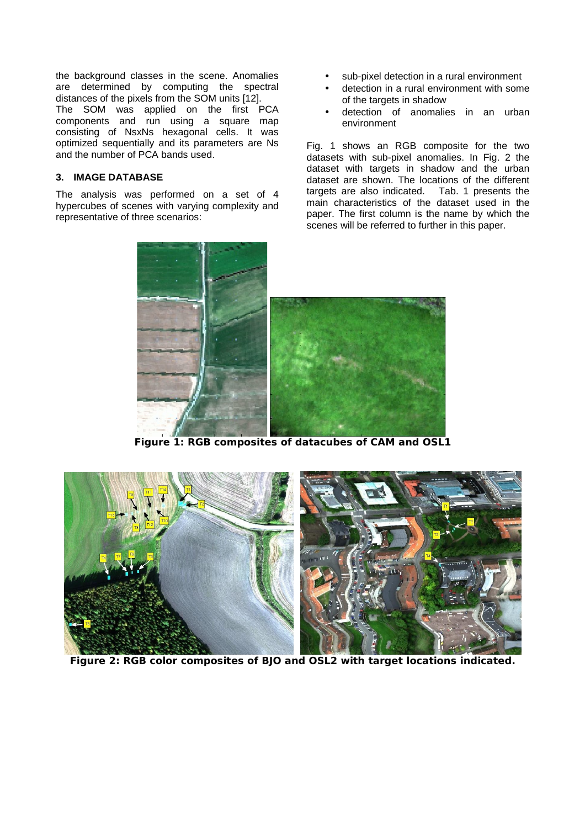the background classes in the scene. Anomalies are determined by computing the spectral distances of the pixels from the SOM units [12]. The SOM was applied on the first PCA components and run using a square map consisting of NsxNs hexagonal cells. It was optimized sequentially and its parameters are Ns and the number of PCA bands used.

## **3. IMAGE DATABASE**

The analysis was performed on a set of 4 hypercubes of scenes with varying complexity and representative of three scenarios:

- sub-pixel detection in a rural environment
- detection in a rural environment with some of the targets in shadow
- detection of anomalies in an urban environment

Fig. 1 shows an RGB composite for the two datasets with sub-pixel anomalies. In Fig. 2 the dataset with targets in shadow and the urban dataset are shown. The locations of the different targets are also indicated. Tab. 1 presents the targets are also indicated. main characteristics of the dataset used in the paper. The first column is the name by which the scenes will be referred to further in this paper.



**Figure 1: RGB composites of datacubes of CAM and OSL1**

<span id="page-2-0"></span>

**Figure 2: RGB color composites of BJO and OSL2 with target locations indicated.**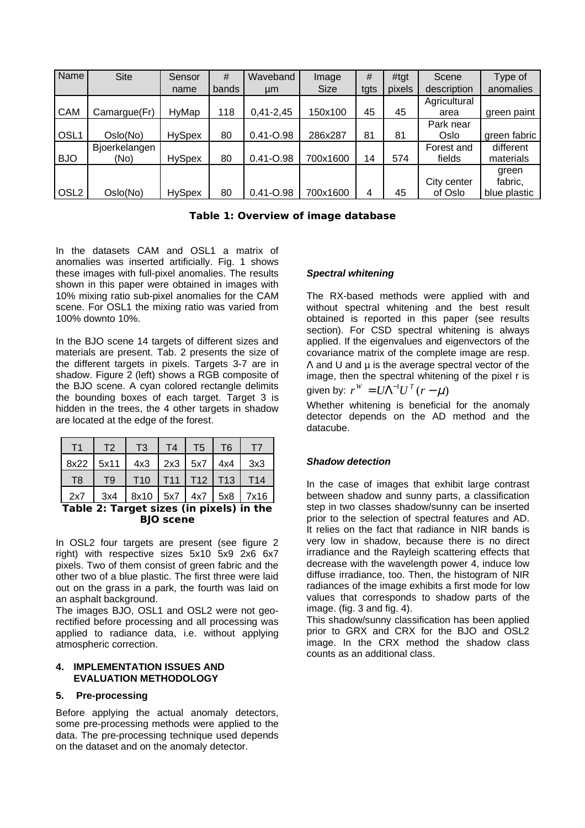| Name             | <b>Site</b>   | Sensor        | #     | Waveband      | Image       | #    | #tgt   | Scene        | Type of      |
|------------------|---------------|---------------|-------|---------------|-------------|------|--------|--------------|--------------|
|                  |               | name          | bands | µm            | <b>Size</b> | tgts | pixels | description  | anomalies    |
|                  |               |               |       |               |             |      |        | Agricultural |              |
| <b>CAM</b>       | Camargue(Fr)  | HyMap         | 118   | $0,41 - 2,45$ | 150x100     | 45   | 45     | area         | green paint  |
|                  |               |               |       |               |             |      |        | Park near    |              |
| OSL1             | Oslo(No)      | <b>HySpex</b> | 80    | $0.41 - 0.98$ | 286x287     | 81   | 81     | Oslo         | green fabric |
|                  | Bjoerkelangen |               |       |               |             |      |        | Forest and   | different    |
| <b>BJO</b>       | (No)          | <b>HySpex</b> | 80    | $0.41 - 0.98$ | 700x1600    | 14   | 574    | fields       | materials    |
|                  |               |               |       |               |             |      |        |              | green        |
|                  |               |               |       |               |             |      |        | City center  | fabric,      |
| OSL <sub>2</sub> | Oslo(No)      | <b>HySpex</b> | 80    | $0.41 - 0.98$ | 700x1600    | 4    | 45     | of Oslo      | blue plastic |

|  | Table 1: Overview of image database |  |  |
|--|-------------------------------------|--|--|
|--|-------------------------------------|--|--|

In the datasets CAM and OSL1 a matrix of anomalies was inserted artificially. Fig. 1 shows these images with full-pixel anomalies. The results shown in this paper were obtained in images with 10% mixing ratio sub-pixel anomalies for the CAM scene. For OSL1 the mixing ratio was varied from 100% downto 10%.

In the BJO scene 14 targets of different sizes and materials are present. Tab. 2 presents the size of the different targets in pixels. Targets 3-7 are in shadow. [Figure 2](#page-2-0) (left) shows a RGB composite of the BJO scene. A cyan colored rectangle delimits the bounding boxes of each target. Target 3 is hidden in the trees, the 4 other targets in shadow are located at the edge of the forest.

| T1             | T <sub>2</sub> | T3   | T4        | T <sub>5</sub>  | T <sub>6</sub> |      |
|----------------|----------------|------|-----------|-----------------|----------------|------|
| 8x22           | 5x11           | 4x3  | $2x3$ 5x7 |                 | $4x4$          | 3x3  |
| T <sub>8</sub> | T <sub>9</sub> | T10  |           | T11   T12   T13 |                | T14  |
| 2x7            | 3x4            | 8x10 | 5x7       | 4x7   5x8       |                | 7x16 |

## **Table 2: Target sizes (in pixels) in the BJO scene**

In OSL2 four targets are present (see figure 2 right) with respective sizes 5x10 5x9 2x6 6x7 pixels. Two of them consist of green fabric and the other two of a blue plastic. The first three were laid out on the grass in a park, the fourth was laid on an asphalt background.

The images BJO, OSL1 and OSL2 were not georectified before processing and all processing was applied to radiance data, i.e. without applying atmospheric correction.

### **4. IMPLEMENTATION ISSUES AND EVALUATION METHODOLOGY**

## **5. Pre-processing**

Before applying the actual anomaly detectors, some pre-processing methods were applied to the data. The pre-processing technique used depends on the dataset and on the anomaly detector.

### *Spectral whitening*

The RX-based methods were applied with and without spectral whitening and the best result obtained is reported in this paper (see results section). For CSD spectral whitening is always applied. If the eigenvalues and eigenvectors of the covariance matrix of the complete image are resp.  $\Lambda$  and U and u is the average spectral vector of the image, then the spectral whitening of the pixel r is

given by:  $r^W = U \Lambda^{-1} U^T (r - \mu)$ 

Whether whitening is beneficial for the anomaly detector depends on the AD method and the datacube.

## *Shadow detection*

In the case of images that exhibit large contrast between shadow and sunny parts, a classification step in two classes shadow/sunny can be inserted prior to the selection of spectral features and AD. It relies on the fact that radiance in NIR bands is very low in shadow, because there is no direct irradiance and the Rayleigh scattering effects that decrease with the wavelength power 4, induce low diffuse irradiance, too. Then, the histogram of NIR radiances of the image exhibits a first mode for low values that corresponds to shadow parts of the image. (fig. 3 and fig. 4).

This shadow/sunny classification has been applied prior to GRX and CRX for the BJO and OSL2 image. In the CRX method the shadow class counts as an additional class.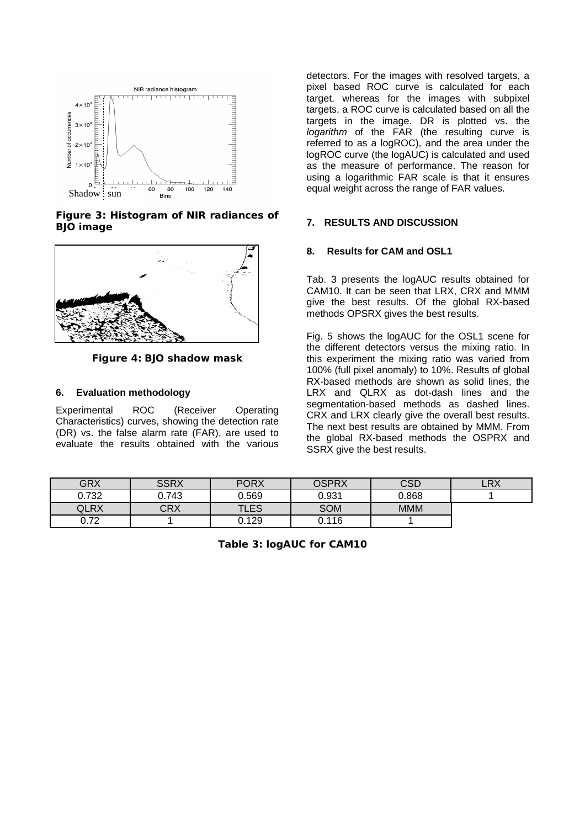

**Figure 3: Histogram of NIR radiances of BJO image**



**Figure 4: BJO shadow mask**

## **6. Evaluation methodology**

Experimental ROC (Receiver Operating Characteristics) curves, showing the detection rate (DR) vs. the false alarm rate (FAR), are used to evaluate the results obtained with the various

detectors. For the images with resolved targets, a pixel based ROC curve is calculated for each target, whereas for the images with subpixel targets, a ROC curve is calculated based on all the targets in the image. DR is plotted vs. the *logarithm* of the FAR (the resulting curve is referred to as a logROC), and the area under the logROC curve (the logAUC) is calculated and used as the measure of performance. The reason for using a logarithmic FAR scale is that it ensures equal weight across the range of FAR values.

### **7. RESULTS AND DISCUSSION**

### **8. Results for CAM and OSL1**

Tab. 3 presents the logAUC results obtained for CAM10. It can be seen that LRX, CRX and MMM give the best results. Of the global RX-based methods OPSRX gives the best results.

Fig. 5 shows the logAUC for the OSL1 scene for the different detectors versus the mixing ratio. In this experiment the mixing ratio was varied from 100% (full pixel anomaly) to 10%. Results of global RX-based methods are shown as solid lines, the LRX and QLRX as dot-dash lines and the segmentation-based methods as dashed lines. CRX and LRX clearly give the overall best results. The next best results are obtained by MMM. From the global RX-based methods the OSPRX and SSRX give the best results.

| <b>GRX</b> | <b>SSRX</b> | <b>PORX</b> | <b>OSPRX</b> | <b>CSD</b> | LRX |
|------------|-------------|-------------|--------------|------------|-----|
| 0.732      | 0.743       | 0.569       | 0.931        | 0.868      |     |
| OLRX       | CRX         | <b>TLES</b> | <b>SOM</b>   | <b>MMM</b> |     |
| 0.72       | --          | 0.129       | 0.116        | --         |     |

**Table 3: logAUC for CAM10**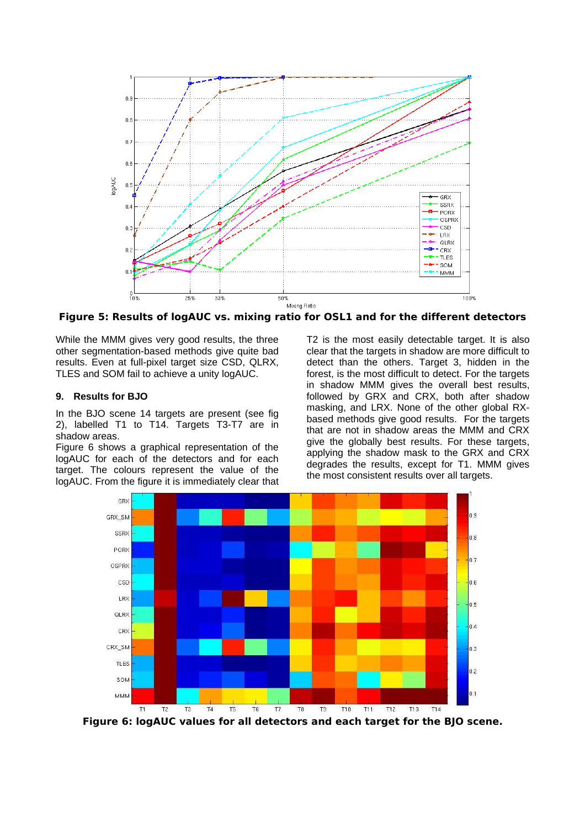

**Figure 5: Results of logAUC vs. mixing ratio for OSL1 and for the different detectors**

While the MMM gives very good results, the three other segmentation-based methods give quite bad results. Even at full-pixel target size CSD, QLRX, TLES and SOM fail to achieve a unity logAUC.

### **9. Results for BJO**

In the BJO scene 14 targets are present (see fig 2), labelled T1 to T14. Targets T3-T7 are in shadow areas.

[Figure 6](#page-5-0) shows a graphical representation of the logAUC for each of the detectors and for each target. The colours represent the value of the logAUC. From the figure it is immediately clear that

T2 is the most easily detectable target. It is also clear that the targets in shadow are more difficult to detect than the others. Target 3, hidden in the forest, is the most difficult to detect. For the targets in shadow MMM gives the overall best results, followed by GRX and CRX, both after shadow masking, and LRX. None of the other global RXbased methods give good results. For the targets that are not in shadow areas the MMM and CRX give the globally best results. For these targets, applying the shadow mask to the GRX and CRX degrades the results, except for T1. MMM gives the most consistent results over all targets.



<span id="page-5-0"></span>**Figure 6: logAUC values for all detectors and each target for the BJO scene.**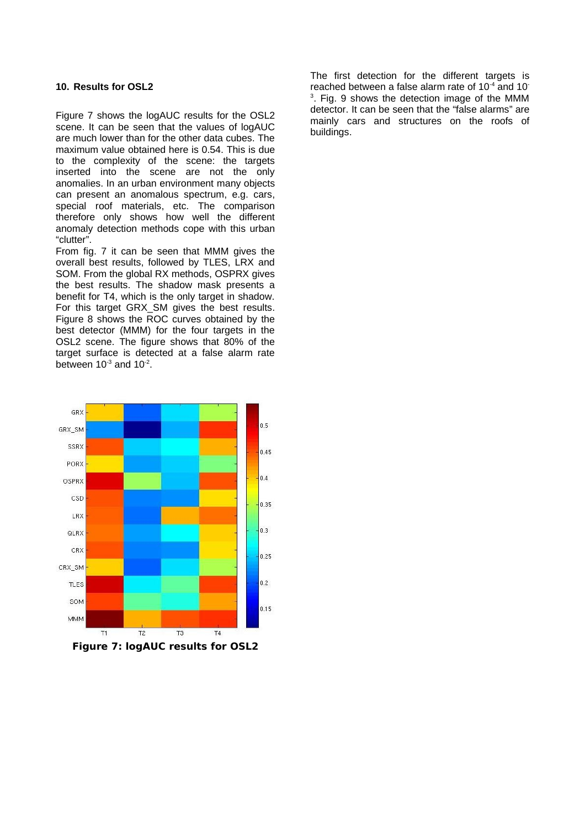### **10. Results for OSL2**

[Figure 7](#page-6-0) shows the logAUC results for the OSL2 scene. It can be seen that the values of logAUC are much lower than for the other data cubes. The maximum value obtained here is 0.54. This is due to the complexity of the scene: the targets inserted into the scene are not the only anomalies. In an urban environment many objects can present an anomalous spectrum, e.g. cars, special roof materials, etc. The comparison therefore only shows how well the different anomaly detection methods cope with this urban "clutter".

From fig. 7 it can be seen that MMM gives the overall best results, followed by TLES, LRX and SOM. From the global RX methods, OSPRX gives the best results. The shadow mask presents a benefit for T4, which is the only target in shadow. For this target GRX SM gives the best results. [Figure 8](#page-7-0) shows the ROC curves obtained by the best detector (MMM) for the four targets in the OSL2 scene. The figure shows that 80% of the target surface is detected at a false alarm rate between  $10^{-3}$  and  $10^{-2}$ .



<span id="page-6-0"></span>**Figure 7: logAUC results for OSL2**

The first detection for the different targets is reached between a false alarm rate of 10<sup>-4</sup> and 10<sup>-</sup>  $3.$  Fig. 9 shows the detection image of the MMM detector. It can be seen that the "false alarms" are mainly cars and structures on the roofs of buildings.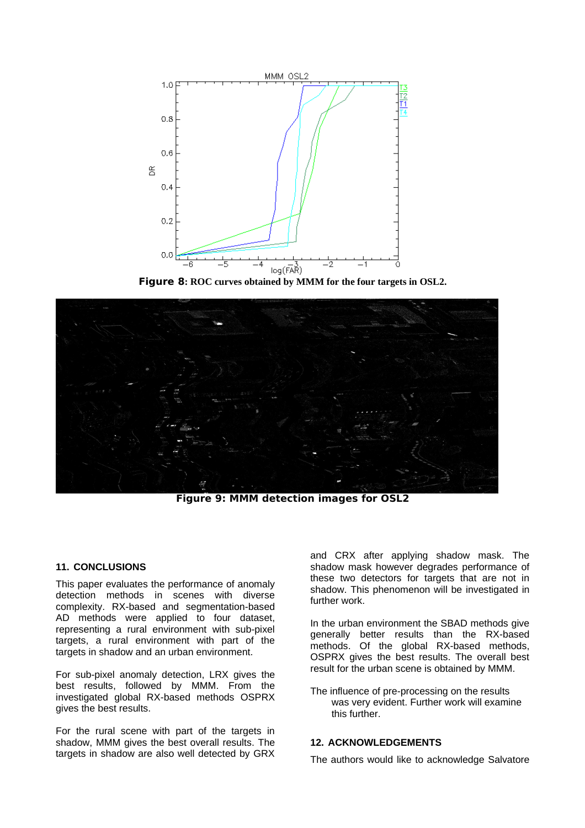

<span id="page-7-0"></span>**Figure 8: ROC curves obtained by MMM for the four targets in OSL2.**



**Figure 9: MMM detection images for OSL2**

### **11. CONCLUSIONS**

This paper evaluates the performance of anomaly detection methods in scenes with diverse complexity. RX-based and segmentation-based AD methods were applied to four dataset, representing a rural environment with sub-pixel targets, a rural environment with part of the targets in shadow and an urban environment.

For sub-pixel anomaly detection, LRX gives the best results, followed by MMM. From the investigated global RX-based methods OSPRX gives the best results.

For the rural scene with part of the targets in shadow, MMM gives the best overall results. The targets in shadow are also well detected by GRX

and CRX after applying shadow mask. The shadow mask however degrades performance of these two detectors for targets that are not in shadow. This phenomenon will be investigated in further work.

In the urban environment the SBAD methods give generally better results than the RX-based methods. Of the global RX-based methods, OSPRX gives the best results. The overall best result for the urban scene is obtained by MMM.

The influence of pre-processing on the results was very evident. Further work will examine this further.

#### **12. ACKNOWLEDGEMENTS**

The authors would like to acknowledge Salvatore